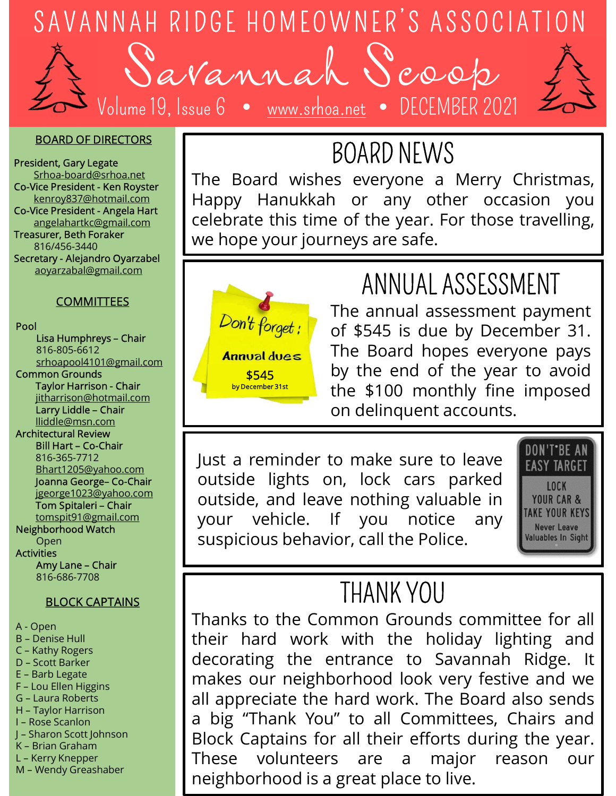

Volume 19, Issue 6 · <u>www.srhoa.net</u> DECEMBER 2021



#### BOARD OF DIRECTORS

President, Gary Legate Srhoa-board@srhoa.net Treasurer, Beth Foraker SAVANNAH RIDGE HOMEOWNER<br>
SAVANNAH RIDGE HOMEOWNER<br>
Volume 19, Issue 6 • <u>www.srhoa.net</u><br> **SOARD OF DIRECTORS**<br>
SECRET CAVICE President - Ken Royster<br>
Secretary - Alejandro Content - Angela Hart<br>
Reserved to the Content aoyarzabal@gmail.com

### **COMMITTEES**

#### Pool

816-805-6612 Common Grounds

lliddle@msn.com

Architectural Review

Neighborhood Watch

Activities

816-686-7708

#### BLOCK CAPTAINS

- 
- 
- 
- 
- 
- 
- 
- 
- 
- 

BOARD NEWS<br>The Board wishes everyone a Merry Christmas, DGE HOMEOWNER'S ASSOCIATION<br>
Vamal Seoop<br>
Sue 6 • www.srhoa.net • DECEMBER 2021<br>
BOARD NEWS<br>
The Board wishes everyone a Merry Christmas,<br>
Happy Hanukkah or any other occasion you<br>
celebrate this time of the year. For thos DGE HOMEOWNER'S ASSOCIATION<br>
Yannah Scoop<br>
sue 6 • www.srhoa.net • DECEMBER 2021<br>
BOARD NEWS<br>
The Board wishes everyone a Merry Christmas,<br>
Happy Hanukkah or any other occasion you<br>
celebrate this time of the year. For tho DGE HOMEOWNER'S ASSOCIATION<br>
Yannah Scoop<br>
sue 6 • www.srhoa.net • DECEMBER 2021<br>
BOARD NEWS<br>
The Board wishes everyone a Merry Christmas,<br>
Happy Hanukkah or any other occasion you<br>
celebrate this time of the year. For tho DGE HOMEOWNER'S ASSOCIATION<br>
We now all Second<br>
BOARD NEWS<br>
The Board wishes everyone a Merry Christmas,<br>
Happy Hanukkah or any other occasion you<br>
celebrate this time of the year. For those travelling,<br>
we hope your journ SAVANNAH RIDGE HOMEOWNER'S<br>
SAVANNAH RIDGE HOMEOWNER'S<br>
SAVANNAH RIDGE HOMEOWNER'S<br>
SCRIPTION VOLUME 19, ISSUE 6 • <u>www.srhoa.net</u> • DECH<br>
BOARD NEV<br>
President - Ken Royster<br>
Co-Vice President - Ken Royster<br>
Co-Vice Presi kenroy837@hotmail.com | Happy Hanukkah or any other occasion you SAVANNAH RIDGE HOMEOWNER'S<br>
SAVANNAH RIDGE HOMEOWNER'S<br>
SARED OF DIRECTORS<br>
President, Gary Legate<br>
Shoar-board@srhoa.net<br>
Co-Vice President - Ken Royster<br>
Co-Vice President - Ken Royster<br>
Co-Vice President - Angela Hart<br> dice President - Angela Hart | | celebrate this time of the year. For those travelling,  $\frac{1}{816/456-3440}$  we hope your journeys are safe.  $\frac{1}{\text{L}}$ <br>
Soar<br>
Soar<br>
Soar<br>
Soar<br>
Soar<br>
Soar<br>
Soar<br>
Soar<br>
Soar<br>
Soar<br>
Soar<br>
Soar<br>
Soar<br>
Soar<br>
Soar<br>
Soar<br>
Soar<br>
Soar<br>
Soar<br>
Soar<br>
Soar<br>
Composition and Harpy Hanukkah or any other<br>
soar<br>
soar Darly Hanukkah or any oth BOARD NEW:<br>
Schenke Contract Schenke The Board Wishes everyone a<br>
Contract Contract Contract Contract Contract Contract Contract Contract Contract Contract Contract Contract Contract Contract Contract Contract Contract Con Note the Stroat Chair<br>
School of the Stroat Chair<br>
State President-Angle Hart<br>
State President-Angle Hart<br>
State President-Angle Hart<br>
State President-Angle Hart<br>
State (State Large Large Large Large Large Large Large Larg



 $\frac{$545}{$545}$  by the end of the year to avoid the \$100 monthly fine imposed **EXECUTE ANNO NEWS**<br> **EXECUTE AND NEWS**<br> **EXECUTE AND NEWS**<br> **EXECUTE ANNO NEWS**<br> **EXECUTE ANNO NEWS**<br> **EXECUTE ANNO NEWS**<br> **EXECUTE ANNO NEWS**<br> **EXECUTE ANNO NEWS ANNO NEWSPACE ANNO NEWSPAPE ANNO NEWSPAPE AND NEWSPAPE AT** POARD NEWS<br>
BOARD NEWS<br>
Severyone a Merry Christmas,<br>
a or any other occasion you<br>
e of the year. For those travelling,<br>
meys are safe.<br>
ANNUAL ASSESSMENT<br>
The annual assessment payment<br>
of \$545 is due by December 31.<br>
The **EXECTS AND NEWS**<br> **EXECTS AND NEWS**<br>
SOARD NEWS<br>
a or any other occasion you<br>
e of the year. For those travelling,<br>
meys are safe.<br> **ANNUAL ASSESSMENT**<br>
The annual assessment payment<br>
of \$545 is due by December 31.<br>
The B **BOARD NEWS**<br>
So everyone a Merry Christmas,<br>
a or any other occasion you<br>
e of the year. For those travelling,<br>
meys are safe.<br> **ANNUAL ASSESSMENT**<br>
The annual assessment payment<br>
of \$545 is due by December 31.<br>
The Board **BOARD NEWS**<br>
So everyone a Merry Christmas,<br>
a or any other occasion you<br>
e of the year. For those travelling,<br>
meys are safe.<br> **ANNUAL ASSESSMENT**<br>
The annual assessment payment<br>
of \$545 is due by December 31.<br>
The Board borth Treaty<br>
is everyone a Merry Christmas,<br>
in or any other occasion you<br>
e of the year. For those travelling,<br>
meys are safe.<br> **ANNUAL ASSESSMENT**<br>
The annual assessment payment<br>
of \$545 is due by December 31.<br>
The Boar 816-805-6612<br>srhoapool4101@gmail.com **Annual dues** The Board hopes everyone pays Finarrison@hotmail.com and the state of the state of the state of the state of the larry Line France this time of the year. For those travelling,<br>
we hope your journeys are safe.<br>
ANNUAL ASSESSMENT<br>
The annual assessment payment<br>
of \$545 is due by December 31.<br>
The Board hopes everyone pays<br>
by the end of the year NOW THE ALL ASSESSMENT<br>
The annual assessment payment<br>
Out forget:<br>
The Board hopes everyone pays<br>
to the Board hopes everyone pays<br>
by the end of the year to avoid<br>
the \$100 monthly fine imposed<br>
on delinquent accounts.<br> **Example 19 and Solution**<br> **Solution** The annual assessment payment<br>
of \$545 is due by December 31.<br> **Annual dues**<br> **S545**<br> **Annual dues**<br> **Outsides**<br> **Annual dues**<br> **Outsides**<br> **OUTER AND**<br> **EXECUTE AND**<br> **EXECUTE AND**<br> ANNUAL ASSESSMENT<br>
The annual assessment payment<br>
of \$545 is due by December 31.<br>
The Board hopes everyone pays<br>
by the end of the year to avoid<br>
the \$100 monthly fine imposed<br>
on delinquent accounts.<br>
Just a reminder to Don't forget:<br>
The annual assessment payment<br>
of \$545 is due by December 31.<br>
The Board hopes everyone pays<br>
by the end of the year to avoid<br>
the \$100 monthly fine imposed<br>
on delinquent accounts.<br>
Just a reminder to make

Experiences and the state of the year of the state of the state of the state of the state of the state of the state of the state of the state of the state of the state of the state of the state of the state of the state of 816-365-7712 Bhart1205@yahoo.com and Justeen Communicative internet carrier to receive Surer, Beth Foraker<br>
Estay-Alejandro Oyarzabel<br>
Estay-Alejandro Oyarzabel<br>
agyarzabal@gmail.com<br>
Subsa Humphreys - Chair<br>
Subsa Humphreys - Chair<br>
Subsa Humphreys - Chair<br>
Subsa Humphreys - Chair<br>
Subsa Humphreys - Chair<br> jgeorge1023@yahoo.com | | outside, and leave nothing valuable in Example 2013<br>
Lisa Humphreys - Chair<br>
Lisa Humphreys - Chair<br>
standard Control of the annual as<br>
standard control of the Board hot<br>
standard control of the Board hot<br>
standard chair<br>
light arrest of the S100 modeling units tomspit91@gmail.com | your vehicle. If you notice  $\bigcap_{\text{Open}}$  suspicious behavior, call the Police. Usa Humphreys - Chair<br>
Streago-6612<br>
Schenarion Chair<br>
Taylor Harison - Chair<br>
The Board<br>
Internsion-chair<br>
Lighter Light Co-Chair<br>
Light Co-Chair<br>
Buddle Chair<br>
Districtions on delinque<br>
Streagong Co-Chair<br>
Buddle Chair<br> Common Grounds<br>
Taylor Harrison Chair<br>
litharrison @hotmail.com<br>
lithartson @hotmail.com<br>
architectural Review<br>
a BillHarrison @hotmail.com<br>
and George-Co-Chair<br>
sta-35-7712<br>
Bhart1205@yahoo.com<br>
Joann Grounds (and Leave n



## THANK YOU

From Bestein Barriers of the S100 monthly fine imposed<br>
Undelinquent accounts.<br>
Just a reminder to make sure to leave<br>
outside lights on, lock cars parked<br>
outside, and leave nothing valuable in  $\frac{1000 \text{ K} \cdot \text{R}}{\text{NME CAR$ The \$100 monthly tine imposed<br>
on delinquent accounts.<br>
Just a reminder to make sure to leave<br>
outside lights on, lock cars parked<br>
outside, and leave nothing valuable in<br>
your vehicle. If you notice any<br>
suspicious behavi On delinquent accounts.<br>
Just a reminder to make sure to leave<br>
outside lights on, lock cars parked<br>
outside, and leave nothing valuable in<br>
your vehicle. If you notice any<br>
suspicious behavior, call the Police.<br>
THANK YOU Usit a reminder to make sure to leave **EAST TARCHE**<br>
OUTSIDE and leave nothing valuable in the sure of the sure of the sure outside, and leave nothing valuable in sure of the sure of the sure of the sure of the sure of the Solution of the hard work and their that appreciate the hard work. The Board also sends a big "Thank You" to all Contrate the hard work with the holiday lighting and decorating the entrance to Savannah Ridge. It makes our **EXECUTE 19 CONTROLL CONTROLL CONTROLL CONTROLL CONTROLL CONTROLL CONTROLL CONTROLL CONTROLL CONTROLL CONTROLL CONTROLL CONTROLL CONTROLL CONTROLL CONTROLL CONTROLL CONTROLL CONTROLL CONTROLL CONTROLL CONTROLL CONTROLL CON** OUTSide, and leave nothing valuable in your vehicle. If you notice any suspicious behavior, call the Police.<br>
Suspicious behavior, call the Police.<br>
THANK YOU<br>
Thanks to the Common Grounds committee for all<br>
their hard wor FRIANT YOU Thanks to the Common Grounds committee for all their hard work with the holiday lighting and decorating the entrance to Savannah Ridge. It makes our neighborhood look very festive and we all appreciate the hard suspicious behavior, call the Police.<br>
THANK YOU<br>
Thanks to the Common Grounds committee for all<br>
their hard work with the holiday lighting and<br>
decorating the entrance to Savannah Ridge. It<br>
makes our neighborhood look ve The three Sheetings and the Chair<br>
any Liddle – Chair<br>
Internsion@hotmail.com<br>
and Eddle Smach<br>
Bill Hart – Co-Chair<br>
Binart 2056-7712<br>
Bhart 2056-2702<br>
Bhart 2056-2702<br>
Benefit – Chair<br>
Compared Watch<br>
Open<br>
activities<br>
O Weinder Chair<br>
Larry Liddle (Chair<br>
and Bill Hart - Co-Chair<br>
Star-365-7712<br>
Bhart 20-Chair<br>
Just a reminder to m<br>
Journal George-Co-Chair<br>
Just a reminder to m<br>
Journal George-Co-Chair<br>
Tom Spitter-Chair<br>
Thanks to the Co Lack Corner and State Corner and State Barker<br>
The Billiam Corner and State Barker<br>
State Barker<br>
State Barker<br>
Neighborhood Watch<br>
Neighborhood Watch<br>
Neighborhood Watch<br>
Activities<br>
Activities<br>
Activities<br>
Activities<br>
Ac Machinesins.com<br>
Nathing Bill Hart - Co-Chair<br>
Bill Hart - Co-Chair<br>
Barb 2056-7712<br>
Designed Co-Chair<br>
Tom Spitaleri - Chair<br>
Open<br>
Meighonod Watch<br>
Open<br>
Activities<br>
Architectural Review<br>
Open<br>
Open<br>
Activities<br>
Open<br>
BL A - Bill Hart - Co-Chair<br>
Bill Hart - Co-Chair<br>
Journal George- Co-Chair<br>
Jeanna George- Co-Chair<br>
Jeanna George- Co-Chair<br>
Tom Spitter – Chair<br>
The presentation<br>
Activities<br>
A - Open<br>
A - Any Lane – Chair<br>
A - Any Lane – Blant1205@yahoo.com<br>
Joanna George-Co-Chair<br>
igeorge1023@yahoo.com<br>
Tom Spitaleri-Chair<br>
Neighborhood Watch<br>
Neighborhood Watch<br>
Neighborhood Watch<br>
Activities<br>
Activities<br>
Activities<br>
Activities<br>
Activities<br>
Activities<br>
A Bhart1205@yahoo.com<br>
Jeange/1023@yahoo.com<br>
Jean-principality<br>
Tom Spitaler Chair<br>
Tom Spitaler Chair<br>
Open<br>
Open<br>
Activities<br>
Arry Lane - Chair<br>
SLOCK CAPTAINS<br>
BLOCK CAPTAINS<br>
BLOCK CAPTAINS<br>
C- Kathy Rogers<br>
D- Scott Ba Bart 2018 (CAPTAINS)<br>
Toman George-Co-Chair<br>
Tom Spitter Levin Chair<br>
Neighborhood Watch<br>
Activities<br>
Any Lane - Chair<br>
Activities<br>
Any Lane - Chair<br>
Activities<br>
Activities<br>
Activities<br>
Activities<br>
Activities<br>
Activities<br> Co-Chair<br>
Signer Co-Chair<br>
Tom Spitaleri – Chair<br>
Neighborhood Watch<br>
Open<br>
Activities<br>
Any Lane – Chair<br>
816-686-7708<br>
BLOCK CAPTAINS<br>
Activities<br>
Activities<br>
Open<br>
Subsection<br>
C- Kathy Rogers<br>
D-Scott Barker<br>
F- Lou Elle Consequently depend to the Common Consequence of the Consequence Chain open<br>
Neighborhood Watch<br>
Neighborhood Watch<br>
Activities<br>
Activities<br>
Activities<br>
Activities<br>
Activities<br>
BLOCK CAPTAINS<br>
BLOCK CAPTAINS<br>
DES Scaling t The Statistics (1-Rain C-Rain Register M-Register M-Register Method Watch<br>
Activities<br>
Activities<br>
Activities<br>
Activities<br>
BLOCK CAPTAINS<br>
BLOCK CAPTAINS<br>
BLOCK CAPTAINS<br>
C-Rain Legion B-Penise Hull<br>
C-Rain General C-Rain UNET ANY LANE CHARGE AND HAND THANK SUSPICIOUS DEALATHER ANY LANE - Den B-Denise Hull<br>
A-Open<br>
B-Denise Hull<br>
C-Kathy Rogers<br>
E-Barb Legate<br>
E-Barb Legate<br>
F-Lou Ellen Higgins<br>
H-Taylor Harrison<br>
H-Taylor Harrison<br>
H-Taylo